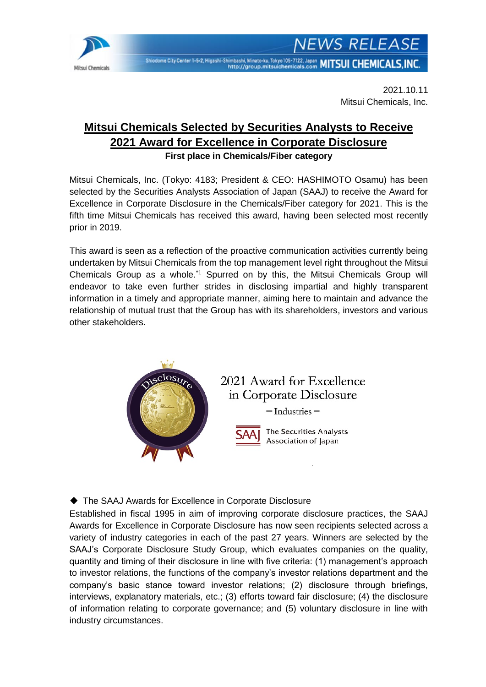

**NEWS RELEASE** Shiodome City Center 1-5-2, Higashi-Shimbashi, Minato-ku, Tokyo 105-7122, Japan MITSUI CHEMICALS, INC.

> 2021.10.11 Mitsui Chemicals, Inc.

## **Mitsui Chemicals Selected by Securities Analysts to Receive 2021 Award for Excellence in Corporate Disclosure First place in Chemicals/Fiber category**

Mitsui Chemicals, Inc. (Tokyo: 4183; President & CEO: HASHIMOTO Osamu) has been selected by the Securities Analysts Association of Japan (SAAJ) to receive the Award for Excellence in Corporate Disclosure in the Chemicals/Fiber category for 2021. This is the fifth time Mitsui Chemicals has received this award, having been selected most recently prior in 2019.

This award is seen as a reflection of the proactive communication activities currently being undertaken by Mitsui Chemicals from the top management level right throughout the Mitsui Chemicals Group as a whole.<sup>\*1</sup> Spurred on by this, the Mitsui Chemicals Group will endeavor to take even further strides in disclosing impartial and highly transparent information in a timely and appropriate manner, aiming here to maintain and advance the relationship of mutual trust that the Group has with its shareholders, investors and various other stakeholders.



## ◆ The SAAJ Awards for Excellence in Corporate Disclosure

Established in fiscal 1995 in aim of improving corporate disclosure practices, the SAAJ Awards for Excellence in Corporate Disclosure has now seen recipients selected across a variety of industry categories in each of the past 27 years. Winners are selected by the SAAJ's Corporate Disclosure Study Group, which evaluates companies on the quality, quantity and timing of their disclosure in line with five criteria: (1) management's approach to investor relations, the functions of the company's investor relations department and the company's basic stance toward investor relations; (2) disclosure through briefings, interviews, explanatory materials, etc.; (3) efforts toward fair disclosure; (4) the disclosure of information relating to corporate governance; and (5) voluntary disclosure in line with industry circumstances.